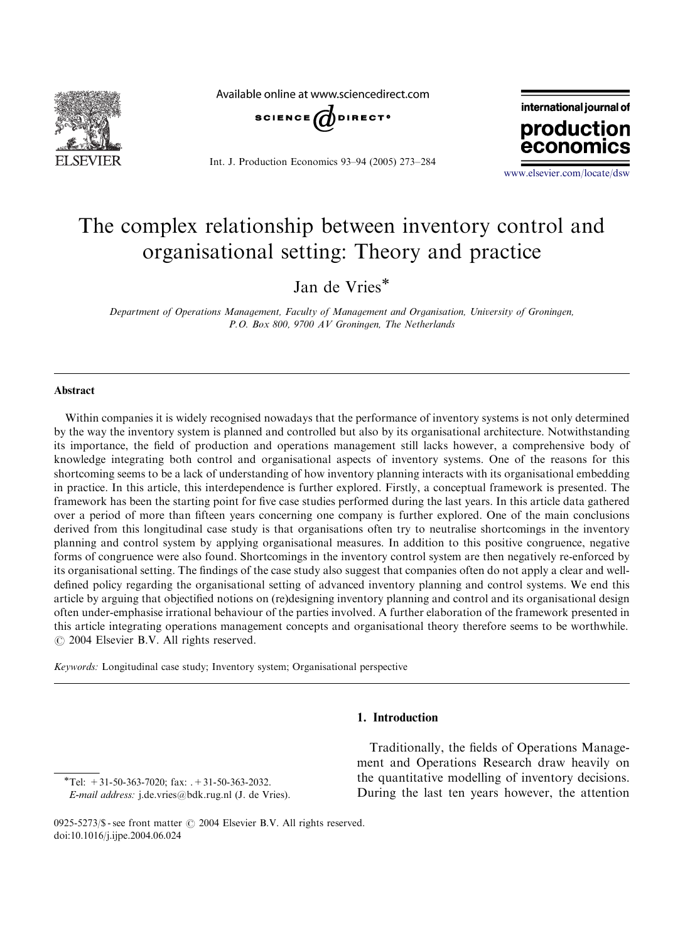

Available online at www.sciencedirect.com



Int. J. Production Economics 93–94 (2005) 273–284



<www.elsevier.com/locate/dsw>

# The complex relationship between inventory control and organisational setting: Theory and practice

Jan de Vries

Department of Operations Management, Faculty of Management and Organisation, University of Groningen, P.O. Box 800, 9700 AV Groningen, The Netherlands

### Abstract

Within companies it is widely recognised nowadays that the performance of inventory systems is not only determined by the way the inventory system is planned and controlled but also by its organisational architecture. Notwithstanding its importance, the field of production and operations management still lacks however, a comprehensive body of knowledge integrating both control and organisational aspects of inventory systems. One of the reasons for this shortcoming seems to be a lack of understanding of how inventory planning interacts with its organisational embedding in practice. In this article, this interdependence is further explored. Firstly, a conceptual framework is presented. The framework has been the starting point for five case studies performed during the last years. In this article data gathered over a period of more than fifteen years concerning one company is further explored. One of the main conclusions derived from this longitudinal case study is that organisations often try to neutralise shortcomings in the inventory planning and control system by applying organisational measures. In addition to this positive congruence, negative forms of congruence were also found. Shortcomings in the inventory control system are then negatively re-enforced by its organisational setting. The findings of the case study also suggest that companies often do not apply a clear and welldefined policy regarding the organisational setting of advanced inventory planning and control systems. We end this article by arguing that objectified notions on (re)designing inventory planning and control and its organisational design often under-emphasise irrational behaviour of the parties involved. A further elaboration of the framework presented in this article integrating operations management concepts and organisational theory therefore seems to be worthwhile.  $\odot$  2004 Elsevier B.V. All rights reserved.

Keywords: Longitudinal case study; Inventory system; Organisational perspective

### 1. Introduction

\*Tel:  $+31-50-363-7020$ ; fax:  $+31-50-363-2032$ . E-mail address: j.de.vries@bdk.rug.nl (J. de Vries).

Traditionally, the fields of Operations Management and Operations Research draw heavily on the quantitative modelling of inventory decisions. During the last ten years however, the attention

<sup>0925-5273/\$ -</sup> see front matter  $\odot$  2004 Elsevier B.V. All rights reserved. doi:10.1016/j.ijpe.2004.06.024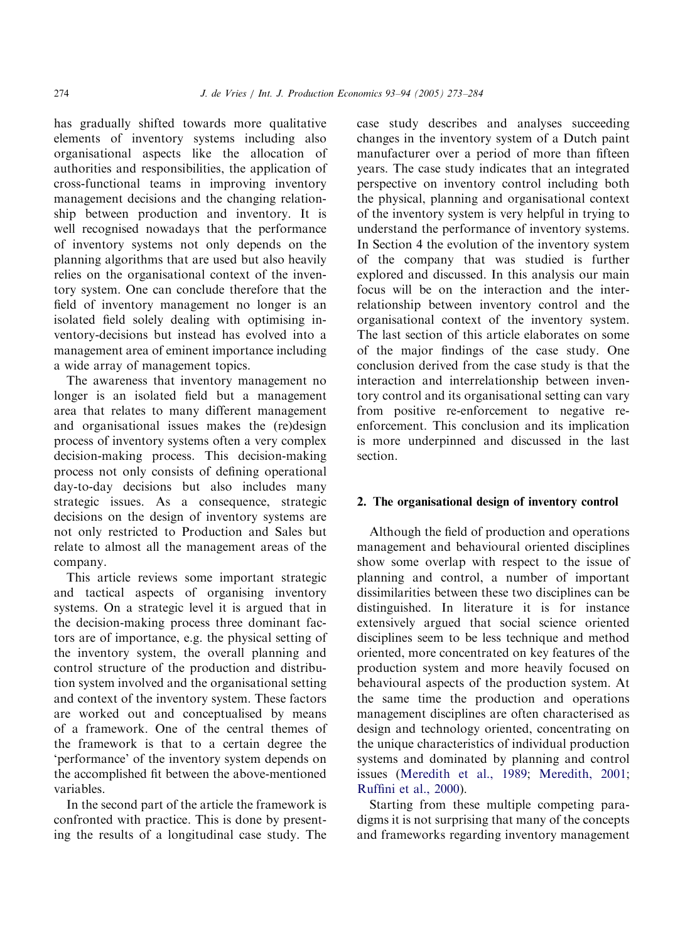has gradually shifted towards more qualitative elements of inventory systems including also organisational aspects like the allocation of authorities and responsibilities, the application of cross-functional teams in improving inventory management decisions and the changing relationship between production and inventory. It is well recognised nowadays that the performance of inventory systems not only depends on the planning algorithms that are used but also heavily relies on the organisational context of the inventory system. One can conclude therefore that the field of inventory management no longer is an isolated field solely dealing with optimising inventory-decisions but instead has evolved into a management area of eminent importance including a wide array of management topics.

The awareness that inventory management no longer is an isolated field but a management area that relates to many different management and organisational issues makes the (re)design process of inventory systems often a very complex decision-making process. This decision-making process not only consists of defining operational day-to-day decisions but also includes many strategic issues. As a consequence, strategic decisions on the design of inventory systems are not only restricted to Production and Sales but relate to almost all the management areas of the company.

This article reviews some important strategic and tactical aspects of organising inventory systems. On a strategic level it is argued that in the decision-making process three dominant factors are of importance, e.g. the physical setting of the inventory system, the overall planning and control structure of the production and distribution system involved and the organisational setting and context of the inventory system. These factors are worked out and conceptualised by means of a framework. One of the central themes of the framework is that to a certain degree the 'performance' of the inventory system depends on the accomplished fit between the above-mentioned variables.

In the second part of the article the framework is confronted with practice. This is done by presenting the results of a longitudinal case study. The case study describes and analyses succeeding changes in the inventory system of a Dutch paint manufacturer over a period of more than fifteen years. The case study indicates that an integrated perspective on inventory control including both the physical, planning and organisational context of the inventory system is very helpful in trying to understand the performance of inventory systems. In Section 4 the evolution of the inventory system of the company that was studied is further explored and discussed. In this analysis our main focus will be on the interaction and the interrelationship between inventory control and the organisational context of the inventory system. The last section of this article elaborates on some of the major findings of the case study. One conclusion derived from the case study is that the interaction and interrelationship between inventory control and its organisational setting can vary from positive re-enforcement to negative reenforcement. This conclusion and its implication is more underpinned and discussed in the last section.

#### 2. The organisational design of inventory control

Although the field of production and operations management and behavioural oriented disciplines show some overlap with respect to the issue of planning and control, a number of important dissimilarities between these two disciplines can be distinguished. In literature it is for instance extensively argued that social science oriented disciplines seem to be less technique and method oriented, more concentrated on key features of the production system and more heavily focused on behavioural aspects of the production system. At the same time the production and operations management disciplines are often characterised as design and technology oriented, concentrating on the unique characteristics of individual production systems and dominated by planning and control issues ([Meredith et al., 1989;](#page--1-0) [Meredith, 2001](#page--1-0); [Ruffini et al., 2000\)](#page--1-0).

Starting from these multiple competing paradigms it is not surprising that many of the concepts and frameworks regarding inventory management